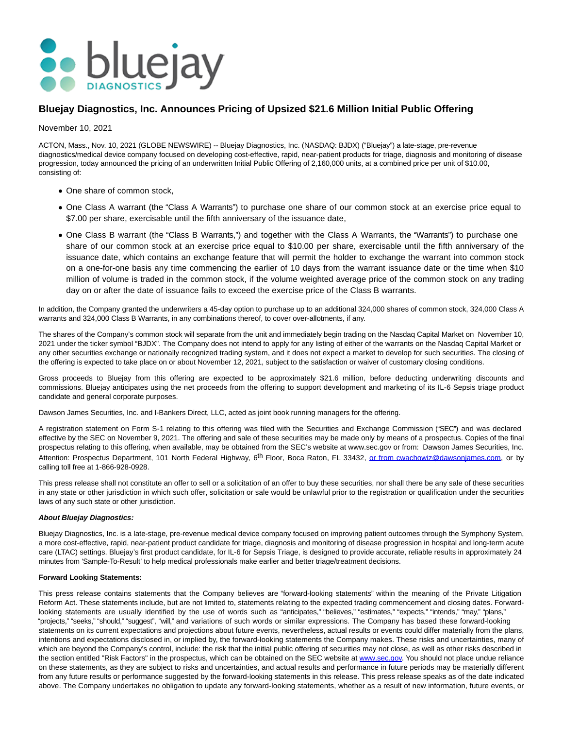

## **Bluejay Diagnostics, Inc. Announces Pricing of Upsized \$21.6 Million Initial Public Offering**

November 10, 2021

ACTON, Mass., Nov. 10, 2021 (GLOBE NEWSWIRE) -- Bluejay Diagnostics, Inc. (NASDAQ: BJDX) ("Bluejay") a late-stage, pre-revenue diagnostics/medical device company focused on developing cost-effective, rapid, near-patient products for triage, diagnosis and monitoring of disease progression, today announced the pricing of an underwritten Initial Public Offering of 2,160,000 units, at a combined price per unit of \$10.00, consisting of:

- One share of common stock,
- One Class A warrant (the "Class A Warrants") to purchase one share of our common stock at an exercise price equal to \$7.00 per share, exercisable until the fifth anniversary of the issuance date,
- One Class B warrant (the "Class B Warrants,") and together with the Class A Warrants, the "Warrants") to purchase one share of our common stock at an exercise price equal to \$10.00 per share, exercisable until the fifth anniversary of the issuance date, which contains an exchange feature that will permit the holder to exchange the warrant into common stock on a one-for-one basis any time commencing the earlier of 10 days from the warrant issuance date or the time when \$10 million of volume is traded in the common stock, if the volume weighted average price of the common stock on any trading day on or after the date of issuance fails to exceed the exercise price of the Class B warrants.

In addition, the Company granted the underwriters a 45-day option to purchase up to an additional 324,000 shares of common stock, 324,000 Class A warrants and 324,000 Class B Warrants, in any combinations thereof, to cover over-allotments, if any.

The shares of the Company's common stock will separate from the unit and immediately begin trading on the Nasdaq Capital Market on November 10, 2021 under the ticker symbol "BJDX". The Company does not intend to apply for any listing of either of the warrants on the Nasdaq Capital Market or any other securities exchange or nationally recognized trading system, and it does not expect a market to develop for such securities. The closing of the offering is expected to take place on or about November 12, 2021, subject to the satisfaction or waiver of customary closing conditions.

Gross proceeds to Bluejay from this offering are expected to be approximately \$21.6 million, before deducting underwriting discounts and commissions. Bluejay anticipates using the net proceeds from the offering to support development and marketing of its IL-6 Sepsis triage product candidate and general corporate purposes.

Dawson James Securities, Inc. and I-Bankers Direct, LLC, acted as joint book running managers for the offering.

A registration statement on Form S-1 relating to this offering was filed with the Securities and Exchange Commission ("SEC") and was declared effective by the SEC on November 9, 2021. The offering and sale of these securities may be made only by means of a prospectus. Copies of the final prospectus relating to this offering, when available, may be obtained from the SEC's website at www.sec.gov or from: Dawson James Securities, Inc. Attention: Prospectus Department, 101 North Federal Highway, 6<sup>th</sup> Floor, Boca Raton, FL 33432, or from cwachowiz@dawsoniames.com, or by calling toll free at 1-866-928-0928.

This press release shall not constitute an offer to sell or a solicitation of an offer to buy these securities, nor shall there be any sale of these securities in any state or other jurisdiction in which such offer, solicitation or sale would be unlawful prior to the registration or qualification under the securities laws of any such state or other jurisdiction.

## **About Bluejay Diagnostics:**

Bluejay Diagnostics, Inc. is a late-stage, pre-revenue medical device company focused on improving patient outcomes through the Symphony System, a more cost-effective, rapid, near-patient product candidate for triage, diagnosis and monitoring of disease progression in hospital and long-term acute care (LTAC) settings. Bluejay's first product candidate, for IL-6 for Sepsis Triage, is designed to provide accurate, reliable results in approximately 24 minutes from 'Sample-To-Result' to help medical professionals make earlier and better triage/treatment decisions.

## **Forward Looking Statements:**

This press release contains statements that the Company believes are "forward-looking statements" within the meaning of the Private Litigation Reform Act. These statements include, but are not limited to, statements relating to the expected trading commencement and closing dates. Forwardlooking statements are usually identified by the use of words such as "anticipates," "believes," "estimates," "expects," "intends," "may," "plans," "projects," "seeks," "should," "suggest", "will," and variations of such words or similar expressions. The Company has based these forward-looking statements on its current expectations and projections about future events, nevertheless, actual results or events could differ materially from the plans, intentions and expectations disclosed in, or implied by, the forward-looking statements the Company makes. These risks and uncertainties, many of which are beyond the Company's control, include: the risk that the initial public offering of securities may not close, as well as other risks described in the section entitled "Risk Factors" in the prospectus, which can be obtained on the SEC website at [www.sec.gov.](http://www.sec.gov/) You should not place undue reliance on these statements, as they are subject to risks and uncertainties, and actual results and performance in future periods may be materially different from any future results or performance suggested by the forward-looking statements in this release. This press release speaks as of the date indicated above. The Company undertakes no obligation to update any forward-looking statements, whether as a result of new information, future events, or